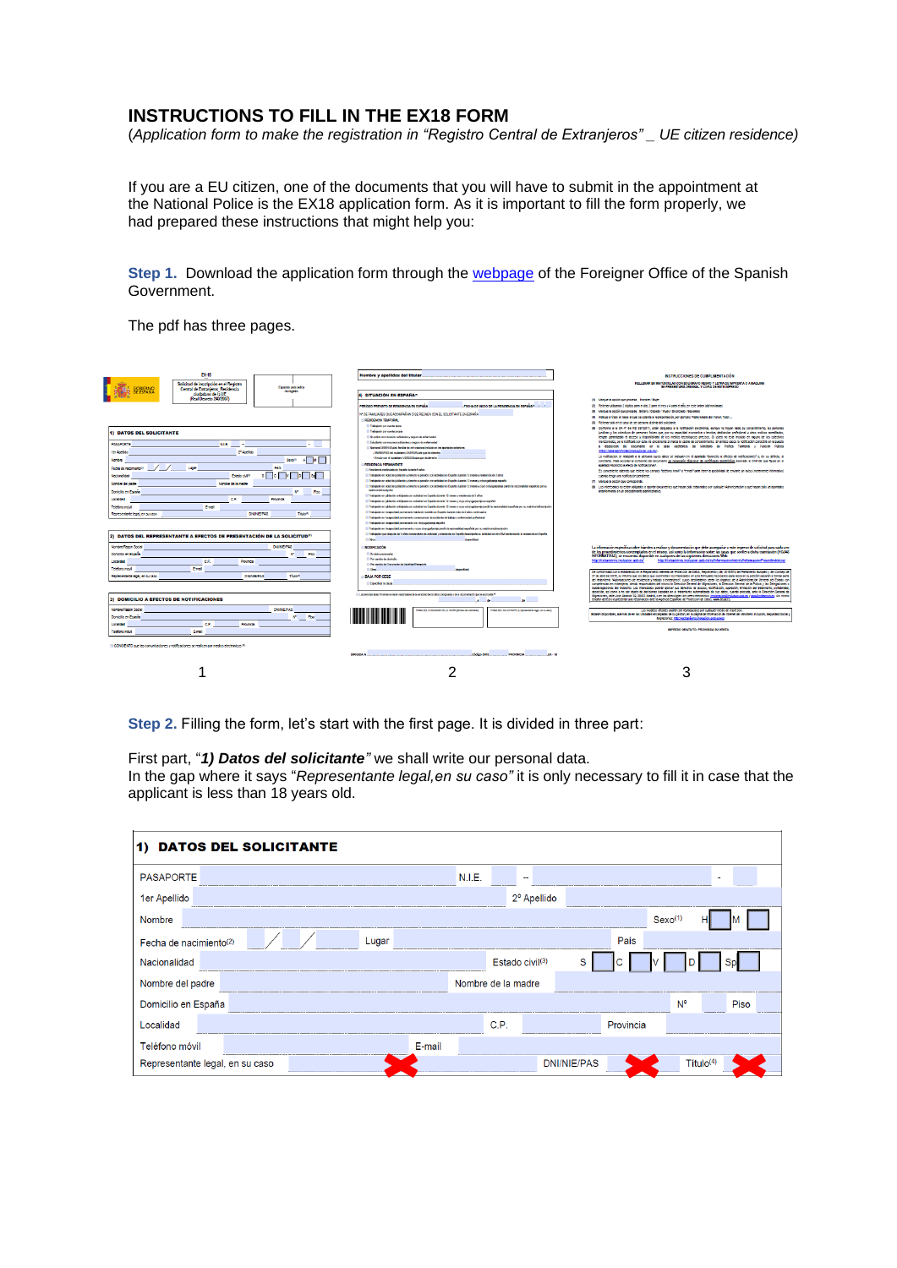## **INSTRUCTIONS TO FILL IN THE EX18 FORM**

(*Application form to make the registration in "Registro Central de Extranjeros" \_ UE citizen residence)*

If you are a EU citizen, one of the documents that you will have to submit in the appointment at the National Police is the EX18 application form. As it is important to fill the form properly, we had prepared these instructions that might help you:

**Step 1.** Download the application form through the [webpage](https://extranjeros.inclusion.gob.es/es/modelossolicitudes/mod_solicitudes2/) of the Foreigner Office of the Spanish Government.

The pdf has three pages.

| FX-18                                                                                                   |                                                                                                                                                                                                                                                          |                                                                                                                                                                                                                                                                                                                    |  |  |  |  |
|---------------------------------------------------------------------------------------------------------|----------------------------------------------------------------------------------------------------------------------------------------------------------------------------------------------------------------------------------------------------------|--------------------------------------------------------------------------------------------------------------------------------------------------------------------------------------------------------------------------------------------------------------------------------------------------------------------|--|--|--|--|
|                                                                                                         | Nombre y apellidos del titular                                                                                                                                                                                                                           | INSTRUCCIONES DE CUMPLIMENTACIÓN                                                                                                                                                                                                                                                                                   |  |  |  |  |
| Solicitud de inscripción en el Registro<br>Especies para soles                                          |                                                                                                                                                                                                                                                          | RELLENAR EN MAYÚSCULAS CON BOLÍSRAFO NEGRO Y LETRA DE MPRENTA O A MÁQUINA<br>35 PRESENTARA ORIGINAL Y COPIA DE ESTE MPRESO                                                                                                                                                                                         |  |  |  |  |
| Central de Extranieros Residencia<br>derection<br>FEPANIA                                               |                                                                                                                                                                                                                                                          |                                                                                                                                                                                                                                                                                                                    |  |  |  |  |
| ciudadano de la UE<br>(Real Decreto 240/2007)                                                           | 4) SITUACIÓN EN ESPAÑAO                                                                                                                                                                                                                                  | (1) Marcue la opción que proceda. Hondae / Muler                                                                                                                                                                                                                                                                   |  |  |  |  |
|                                                                                                         |                                                                                                                                                                                                                                                          | (2) Reliever utilizando 2 díotos para el día, 2 para el mes y 4 para el año, en este orden (dálmm)asas)                                                                                                                                                                                                            |  |  |  |  |
|                                                                                                         | FROM DE INCO DE LA RENORMOJA EN FREMARE. 2012<br>PRICOO PREVIATO DE RESIDENCIA EN ESPAÑA                                                                                                                                                                 | (8) Memue la opción que proceda, Soltero / Capado / Wudo / Divorciado / Separado                                                                                                                                                                                                                                   |  |  |  |  |
|                                                                                                         | M DE FAMILIARES QUE ACCIMPANAN O SE REÚNEN CON EL SOLICITANTE EN ESPAÑA                                                                                                                                                                                  | (4) Indicus el título en base al cual se colanta la representación, por elemplo: Padro Madre del menor. Tutor                                                                                                                                                                                                      |  |  |  |  |
|                                                                                                         | RESORVES TRAPORAL                                                                                                                                                                                                                                        | (8) Reliever sólo en el caso de ser persona distinta del solicitante.                                                                                                                                                                                                                                              |  |  |  |  |
|                                                                                                         | <b>Il Trabajedor per cuerte ajone</b>                                                                                                                                                                                                                    | (6) Conforme a la DA 4" del RD 557/2011, están obligados a la notificación electrónica, aunque no hayan dado su consentimiento, las personas                                                                                                                                                                       |  |  |  |  |
| <b>1) DATOS DEL SOLICITANTE</b>                                                                         | El Trabajador por cuerta propia                                                                                                                                                                                                                          | lundicas y los colectivos de personas folcas que, por su capacidad económica o tecnica, dedicación profesional u obto motivos acreditados.                                                                                                                                                                         |  |  |  |  |
|                                                                                                         | El Noacho con recursos suficientes y seguro de enferredad.                                                                                                                                                                                               | tergen gerentzado el acceso y disponibilidad de los medios tecnológicos precisos. Si ustad no está incluído en alguno de los colectivos                                                                                                                                                                            |  |  |  |  |
| <b>PASAPORTE</b><br><b>NJE</b>                                                                          | El Estudiade con recursos suficientes y seguro de enfermedad                                                                                                                                                                                             | mercionados, se le notificará por esta via únicamente si marca la casilla de consentimiento. En ambos casos la notificación consistirá en la puesta<br>a dissociation del documento en la sede electrónica del Melsteelo de Política Tenttorial y Punción Pública                                                  |  |  |  |  |
| 2" April 80<br>ter Apellido                                                                             | [] National UEATERSLite, furnitur de otro nacional incluido en los apertedos anteriores<br>- DNNEPAS or dutating UDDEDSite car de develo                                                                                                                 | Differentiate advokation for an address and and                                                                                                                                                                                                                                                                    |  |  |  |  |
|                                                                                                         | - Virgilo con el dudadano UE/EEE/Suiza que da derecho                                                                                                                                                                                                    | La notificación se realizará a la persona cuyos delos se indiquen en el apartado *domicillo a efectos de notificaciones" o, en su defecto, al                                                                                                                                                                      |  |  |  |  |
| Search<br>Nombre                                                                                        | <b><i>BENESVALL PEDMANENTE</i></b>                                                                                                                                                                                                                       | solicitaria. Para acceder al contenido del documento es necesario disponer de oerófisado electrónico esociado al DNINE que floure en el                                                                                                                                                                            |  |  |  |  |
| Pais<br>Fecha de nacimiento?                                                                            | El Residencia continuada en España durante 5 años                                                                                                                                                                                                        | epartado Horniclio a efecto de notificaciones".                                                                                                                                                                                                                                                                    |  |  |  |  |
| Estado clut <sup>o</sup><br>Nacionalidad                                                                | El Trabajador en edad de lubilación y derecho a paraíón con actividad en Espeña durante 12 meses y residencia de 3 años                                                                                                                                  | Es converiente edemás que refere los campos fleistino módif o fermalif para tener la posibilidad de enviarie un aviso (meramente informativo)<br>cuendo tenga una notificación pendente.                                                                                                                           |  |  |  |  |
|                                                                                                         | [1] Trabalador en adad de istitución y denoto a paraític con artividad en Escada durante 12 mases y obresandoenía escadal                                                                                                                                | (7) Mercue la coción que corresponda.                                                                                                                                                                                                                                                                              |  |  |  |  |
| Nombre de la madre<br>Norsbre del padre                                                                 | [1] Trabajadoren edad de jubilación y derecho a persión con actividad en España durante 12 meses y cuyo cónyugalyaneja perdió la nacionalidad española por su                                                                                            | (8) Los interesados no están obligados a aportar documentos que havan sido elaborados por cualquier Administración o que havan sido va aportados                                                                                                                                                                   |  |  |  |  |
| w<br>Rso<br>Dontclio en España                                                                          | methods in the control of                                                                                                                                                                                                                                | enteriormente en un procedimiento administrativo.                                                                                                                                                                                                                                                                  |  |  |  |  |
| C.P<br>Provincia<br>Localidad                                                                           | [1] Trabalador en labilación anticipada con actividad en España durante 12 meses y residencia de 3 años                                                                                                                                                  |                                                                                                                                                                                                                                                                                                                    |  |  |  |  |
|                                                                                                         | [1] Test ejector en jubilecties enticipada con extividad en Espeña durante 12 meses y cuan cónorgadoensis es espeñol                                                                                                                                     |                                                                                                                                                                                                                                                                                                                    |  |  |  |  |
| Telefono movi<br><b>E-mail</b>                                                                          | [1] Trabajadoren jubilación articipada con actividad en España durante 12 meses y cuyo cónyugo/pareja pardó la nacionalidad española por su matérosia/mentró/n                                                                                           |                                                                                                                                                                                                                                                                                                                    |  |  |  |  |
| <b>DIAMEPAS</b><br>Titulo <sup>10</sup><br>Representante legal, en su caso                              | El Trabajador en incapacidad commente habiendo residido en Escaña durante más de 2 años continuados<br>[1] Trabalador en incapacidad permanente consequencia de accidente de trabalo o enfermedad profesional                                            |                                                                                                                                                                                                                                                                                                                    |  |  |  |  |
|                                                                                                         | [] Trabajador en inoqueódad permanente con elinyogo barrija español                                                                                                                                                                                      |                                                                                                                                                                                                                                                                                                                    |  |  |  |  |
|                                                                                                         | [3] Trabajador en incapacidad permanente y cuyo obryugadyanga perdibila nacionalidad española por su matrimorialmento din                                                                                                                                |                                                                                                                                                                                                                                                                                                                    |  |  |  |  |
|                                                                                                         | El Trabajor que despúés de 3 años consecutivos de extividad y residencia en España desenpeña su actividad en stro EM martersiando la residencia en España                                                                                                |                                                                                                                                                                                                                                                                                                                    |  |  |  |  |
| 2) DATOS DEL REPRESENTANTE A EFECTOS DE PRESENTACIÓN DE LA SOLICITUD <sup>IO</sup>                      | $\Box$ Olera<br>Inspections                                                                                                                                                                                                                              |                                                                                                                                                                                                                                                                                                                    |  |  |  |  |
| Nombre/Razón Social<br>DNINE/PAR                                                                        | MODECADOR                                                                                                                                                                                                                                                | La información específica sobre trámites a realizar y documentación que debe acompañar a este impreso de solicitud para cada uno                                                                                                                                                                                   |  |  |  |  |
|                                                                                                         |                                                                                                                                                                                                                                                          | de los procedimientos contemplados en el mismo, así como la información sobre las tasas que conlleva dicha tramitación (HQJAS                                                                                                                                                                                      |  |  |  |  |
| Domicilio en France                                                                                     | Pho<br><sup>(1)</sup> De datas personaire<br>INFORMATIVAS), se encuentra disponible en cualquiera de las siguientes direcciones Web:<br>El Parcentile de donicilio<br>http://extranjeros.inclusion.gob.es/es/informacion/eteres/informacionProcedimiento |                                                                                                                                                                                                                                                                                                                    |  |  |  |  |
| C.P.<br>Localidae<br><b>Provincia</b>                                                                   | El Par pandós de Documento de Meridital Pasaporto                                                                                                                                                                                                        | and dog, resistant posteriors and                                                                                                                                                                                                                                                                                  |  |  |  |  |
| <b>Const</b><br>Teléfono móvil                                                                          | $\Box$ Olea.                                                                                                                                                                                                                                             | De conformidad con lo establecido en el Regiamento General de Protección de Datos, Regiamento (UE) 2016/679 del Parlamento Europeo y del Concelo de                                                                                                                                                                |  |  |  |  |
| DNINK/PAR<br>Think <sup>4</sup><br>Representante legal, en su caso                                      | 27 de abril del 2016, se informa que los datos que suministren los interesados en este formulario necesarios para resolver su petición pasarán a formar parte<br><b>BAJA POR CESE</b>                                                                    |                                                                                                                                                                                                                                                                                                                    |  |  |  |  |
|                                                                                                         | El Especificar la casas                                                                                                                                                                                                                                  | del trebmiento Rulpitgaciones de residencia y trabalo a extranjeros", cuyos destinatarios serán los órganos de la Administración General del Estado con<br>competencias en extranjeria, siendo responsables del mismo la Dirección General de Migraciones, la Dirección General de la Policia y las Delegaciones o |  |  |  |  |
|                                                                                                         |                                                                                                                                                                                                                                                          | Subdelegaciones del Gobierro. Los interesados podrán elercer sus derechos de acceso, rechitoador, supresión, inntación del tratamiento, portabilidad.                                                                                                                                                              |  |  |  |  |
|                                                                                                         | [1] Les partimentalists formation en hacen responsables de la versiditat de los delos consignation y de la documentación que se acompaña P                                                                                                               | coosición, así como a no ser obleto de decisiones basadas en el tratamiento automatizado de sus datos, cuando proceda, ante la Dirección General de                                                                                                                                                                |  |  |  |  |
| <b>DOMICILIO A EFECTOS DE NOTIFICACIONES</b>                                                            | - 6                                                                                                                                                                                                                                                      | Moraciones, cale José Abascal 39, 28003 Madrid, o en las direcciones de coreo electrónico: inmigracion/binclusion.ogb.es y dodiômitentiss.es, Así mismo<br>tendrén derecho a presentar una reclamación ante la Agencia Española de Protección de Datos, www.aegd.es.                                               |  |  |  |  |
|                                                                                                         |                                                                                                                                                                                                                                                          |                                                                                                                                                                                                                                                                                                                    |  |  |  |  |
| DNMFPAR<br>Nombre Plancin Social                                                                        | TRIA DEL CUENCIAVO DE LA UNIÓN Banillar del solicitativo<br>FIRMA DEL SOLICITANTE la representate legal en su quodi                                                                                                                                      | Los modelos oficiales podren ser reproducidos por cualquier medio de impresion                                                                                                                                                                                                                                     |  |  |  |  |
| <b>Pho</b><br><b>MELLIN</b><br>Domicillo en Estados                                                     |                                                                                                                                                                                                                                                          | Estarán disponibles, además de en las Unidades encarpadas de su pestión, en la pagina de información de internet del Ministerio Inclusión, Sepuridad Social y<br>Mondones: http://extranjeros.inolusion.gob.esies/                                                                                                 |  |  |  |  |
| CP.<br>Localidad<br>Peatocle                                                                            |                                                                                                                                                                                                                                                          |                                                                                                                                                                                                                                                                                                                    |  |  |  |  |
| Email<br>Lifetimo most                                                                                  |                                                                                                                                                                                                                                                          | MPRESO GRATUITO, PROHISIDA SU VENTA                                                                                                                                                                                                                                                                                |  |  |  |  |
|                                                                                                         |                                                                                                                                                                                                                                                          |                                                                                                                                                                                                                                                                                                                    |  |  |  |  |
|                                                                                                         |                                                                                                                                                                                                                                                          |                                                                                                                                                                                                                                                                                                                    |  |  |  |  |
| [1] CONSIENTO que las comunicaciones y notificaciones se realicen por medios electrónicos <sup>(8</sup> |                                                                                                                                                                                                                                                          |                                                                                                                                                                                                                                                                                                                    |  |  |  |  |
|                                                                                                         | <b>DESIGNER A</b><br>Codigo DIRL<br><b>PROVINCIA</b><br><b>FX-11</b>                                                                                                                                                                                     |                                                                                                                                                                                                                                                                                                                    |  |  |  |  |
|                                                                                                         |                                                                                                                                                                                                                                                          |                                                                                                                                                                                                                                                                                                                    |  |  |  |  |
|                                                                                                         |                                                                                                                                                                                                                                                          |                                                                                                                                                                                                                                                                                                                    |  |  |  |  |
|                                                                                                         |                                                                                                                                                                                                                                                          |                                                                                                                                                                                                                                                                                                                    |  |  |  |  |
|                                                                                                         |                                                                                                                                                                                                                                                          |                                                                                                                                                                                                                                                                                                                    |  |  |  |  |

**Step 2.** Filling the form, let's start with the first page. It is divided in three part:

First part, "*1) Datos del solicitante"* we shall write our personal data.

In the gap where it says "*Representante legal,en su caso"* it is only necessary to fill it in case that the applicant is less than 18 years old.

| <b>DATOS DEL SOLICITANTE</b><br>1)          |                             |                          |           |                     |                       |
|---------------------------------------------|-----------------------------|--------------------------|-----------|---------------------|-----------------------|
| <b>PASAPORTE</b>                            | N.I.E.                      | $\overline{\phantom{a}}$ |           |                     |                       |
| 1er Apellido                                |                             | 2º Apellido              |           |                     |                       |
| Nombre                                      |                             |                          |           | Sexo <sup>(1)</sup> | н                     |
| Lugar<br>Fecha de nacimiento <sup>(2)</sup> |                             |                          | Pais      |                     |                       |
| Nacionalidad                                | Estado civil <sup>(3)</sup> |                          | S<br>C    | D                   | Sp                    |
| Nombre del padre                            | Nombre de la madre          |                          |           |                     |                       |
| Domicilio en España                         |                             |                          |           | N°                  | Piso                  |
| Localidad                                   | C.P.                        |                          | Provincia |                     |                       |
| E-mail<br>Teléfono móvil                    |                             |                          |           |                     |                       |
| Representante legal, en su caso             |                             | <b>DNI/NIE/PAS</b>       |           |                     | Titulo <sup>(4)</sup> |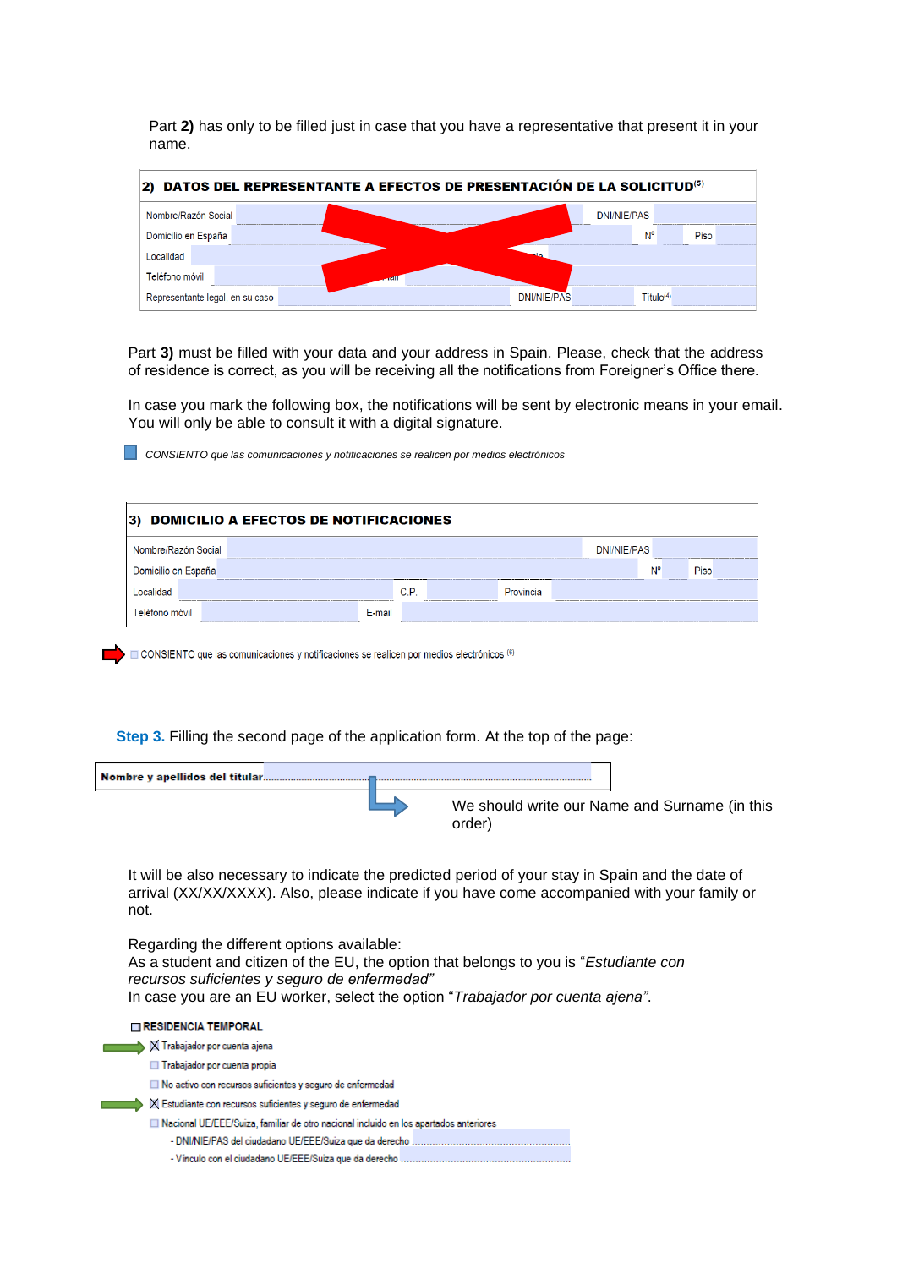Part **2)** has only to be filled just in case that you have a representative that present it in your name.

| 2) DATOS DEL REPRESENTANTE A EFECTOS DE PRESENTACIÓN DE LA SOLICITUD <sup>(5)</sup> |                             |  |  |  |  |
|-------------------------------------------------------------------------------------|-----------------------------|--|--|--|--|
| Nombre/Razón Social                                                                 | <b>DNI/NIE/PAS</b>          |  |  |  |  |
| Domicilio en España                                                                 | N°<br>Piso                  |  |  |  |  |
| Localidad                                                                           |                             |  |  |  |  |
| Teléfono móvil                                                                      | an Col                      |  |  |  |  |
| Representante legal, en su caso                                                     | DNI/NIF/PAS<br>$T$ itulo(4) |  |  |  |  |

Part **3)** must be filled with your data and your address in Spain. Please, check that the address of residence is correct, as you will be receiving all the notifications from Foreigner's Office there.

In case you mark the following box, the notifications will be sent by electronic means in your email. You will only be able to consult it with a digital signature.

*CONSIENTO que las comunicaciones y notificaciones se realicen por medios electrónicos*

| 3) DOMICILIO A EFECTOS DE NOTIFICACIONES |        |      |  |           |  |             |    |      |
|------------------------------------------|--------|------|--|-----------|--|-------------|----|------|
| Nombre/Razón Social                      |        |      |  |           |  | DNI/NIE/PAS |    |      |
| Domicilio en España                      |        |      |  |           |  |             | N° | Piso |
|                                          |        | C.P. |  | Provincia |  |             |    |      |
| Teléfono móvil                           | F-mail |      |  |           |  |             |    |      |

CONSIENTO que las comunicaciones y notificaciones se realicen por medios electrónicos (6)

**Step 3.** Filling the second page of the application form. At the top of the page:

| We should write our Name and Surname (in this<br>order) |
|---------------------------------------------------------|

It will be also necessary to indicate the predicted period of your stay in Spain and the date of arrival (XX/XX/XXXX). Also, please indicate if you have come accompanied with your family or not.

Regarding the different options available: As a student and citizen of the EU, the option that belongs to you is "*Estudiante con recursos suficientes y seguro de enfermedad"* In case you are an EU worker, select the option "*Trabajador por cuenta ajena"*.

RESIDENCIA TEMPORAL  $\blacktriangleright$   $\times$  Trabajador por cuenta ajena Trabajador por cuenta propia No activo con recursos suficientes y seguro de enfermedad  $\blacktriangleright$   $\bowtie$  Estudiante con recursos suficientes y seguro de enfermedad Nacional UE/EEE/Suiza, familiar de otro nacional incluido en los apartados anteriores - Vínculo con el ciudadano UE/EEE/Suiza que da derecho .............................